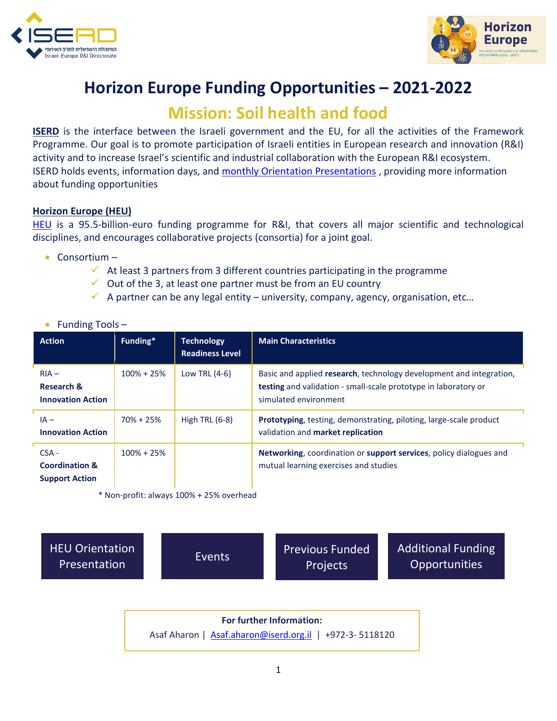



## **Horizon Europe Funding Opportunities – 2021-2022**

## **Mission: Soil health and food**

**ISERD** is the interface between the Israeli government and the EU, for all the activities of the Framework Programme. Our goal is to promote participation of Israeli entities in European research and innovation (R&I) activity and to increase Israel's scientific and industrial collaboration with the European R&I ecosystem. ISERD holds events, information days, and [monthly Orientation Presentations](https://www.innovationisrael.org.il/ISERD/page/news-events) , providing more information about funding opportunities

## **Horizon Europe (HEU)**

[HEU](https://ec.europa.eu/info/horizon-europe_en) is a 95.5-billion-euro funding programme for R&I, that covers all major scientific and technological disciplines, and encourages collaborative projects (consortia) for a joint goal.

- Consortium
	- $\checkmark$  At least 3 partners from 3 different countries participating in the programme
	- $\checkmark$  Out of the 3, at least one partner must be from an EU country
	- $\checkmark$  A partner can be any legal entity university, company, agency, organisation, etc...

|  | Funding Tools- |  |  |
|--|----------------|--|--|
|--|----------------|--|--|

| <b>Action</b>                                                 | Funding*       | <b>Technology</b><br><b>Readiness Level</b> | <b>Main Characteristics</b>                                                                                                                                            |
|---------------------------------------------------------------|----------------|---------------------------------------------|------------------------------------------------------------------------------------------------------------------------------------------------------------------------|
| $RIA -$<br>Research &<br><b>Innovation Action</b>             | $100\% + 25\%$ | Low TRL $(4-6)$                             | Basic and applied research, technology development and integration,<br><b>testing</b> and validation - small-scale prototype in laboratory or<br>simulated environment |
| $IA -$<br><b>Innovation Action</b>                            | $70\% + 25\%$  | High TRL $(6-8)$                            | Prototyping, testing, demonstrating, piloting, large-scale product<br>validation and market replication                                                                |
| $CSA -$<br><b>Coordination &amp;</b><br><b>Support Action</b> | $100\% + 25\%$ |                                             | Networking, coordination or support services, policy dialogues and<br>mutual learning exercises and studies                                                            |

\* Non-profit: always 100% + 25% overhead

[HEU Orientation](https://www.youtube.com/playlist?list=PL_qAG9k4QGULhTQ0HUKtVdFDIPe8zBUbZ) 

EU Orientation [Events](https://www.innovationisrael.org.il/ISERD/page/news-events)<br>Presentation Events Projects Projects

[Additional Funding](https://www.innovationisrael.org.il/ISERD/page/what-am-i-looking)  **Opportunities** 

**For further Information:**  Asaf Aharon | [Asaf.aharon@iserd.org.il](mailto:Asaf.aharon@iserd.org.il) | +972-3-5118120